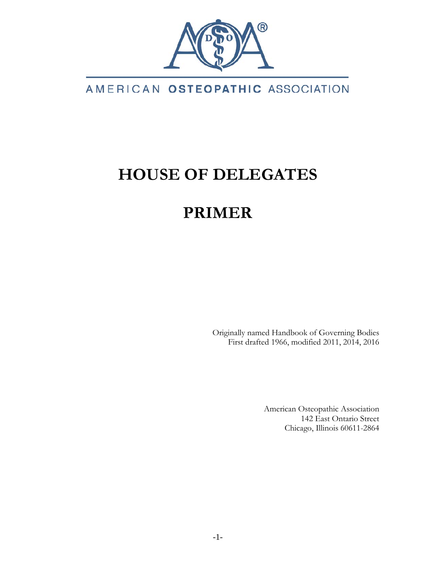

## AMERICAN OSTEOPATHIC ASSOCIATION

# **HOUSE OF DELEGATES**

# **PRIMER**

Originally named Handbook of Governing Bodies First drafted 1966, modified 2011, 2014, 2016

> American Osteopathic Association 142 East Ontario Street Chicago, Illinois 60611-2864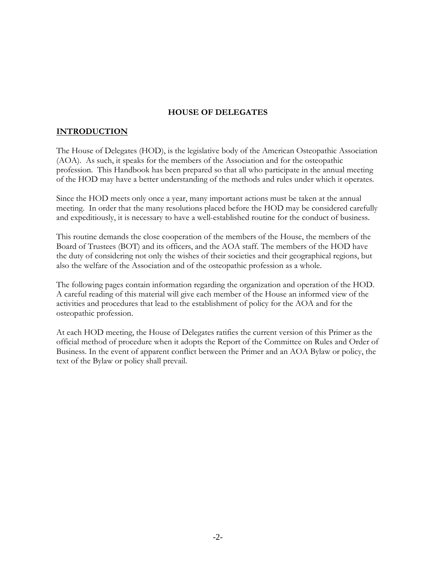## **HOUSE OF DELEGATES**

## **INTRODUCTION**

The House of Delegates (HOD), is the legislative body of the American Osteopathic Association (AOA). As such, it speaks for the members of the Association and for the osteopathic profession. This Handbook has been prepared so that all who participate in the annual meeting of the HOD may have a better understanding of the methods and rules under which it operates.

Since the HOD meets only once a year, many important actions must be taken at the annual meeting. In order that the many resolutions placed before the HOD may be considered carefully and expeditiously, it is necessary to have a well-established routine for the conduct of business.

This routine demands the close cooperation of the members of the House, the members of the Board of Trustees (BOT) and its officers, and the AOA staff. The members of the HOD have the duty of considering not only the wishes of their societies and their geographical regions, but also the welfare of the Association and of the osteopathic profession as a whole.

The following pages contain information regarding the organization and operation of the HOD. A careful reading of this material will give each member of the House an informed view of the activities and procedures that lead to the establishment of policy for the AOA and for the osteopathic profession.

At each HOD meeting, the House of Delegates ratifies the current version of this Primer as the official method of procedure when it adopts the Report of the Committee on Rules and Order of Business. In the event of apparent conflict between the Primer and an AOA Bylaw or policy, the text of the Bylaw or policy shall prevail.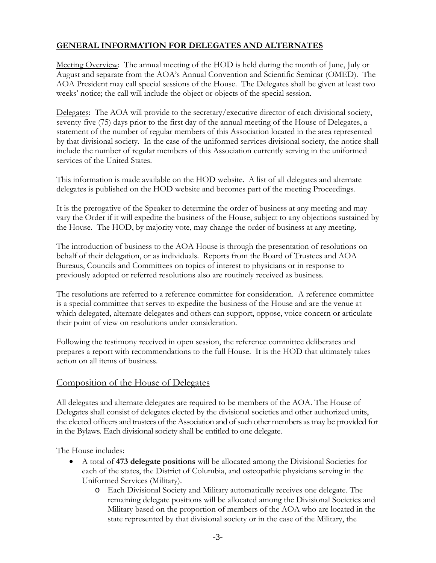## **GENERAL INFORMATION FOR DELEGATES AND ALTERNATES**

Meeting Overview: The annual meeting of the HOD is held during the month of June, July or August and separate from the AOA's Annual Convention and Scientific Seminar (OMED). The AOA President may call special sessions of the House. The Delegates shall be given at least two weeks' notice; the call will include the object or objects of the special session.

Delegates: The AOA will provide to the secretary/executive director of each divisional society, seventy-five (75) days prior to the first day of the annual meeting of the House of Delegates, a statement of the number of regular members of this Association located in the area represented by that divisional society. In the case of the uniformed services divisional society, the notice shall include the number of regular members of this Association currently serving in the uniformed services of the United States.

This information is made available on the HOD website. A list of all delegates and alternate delegates is published on the HOD website and becomes part of the meeting Proceedings.

It is the prerogative of the Speaker to determine the order of business at any meeting and may vary the Order if it will expedite the business of the House, subject to any objections sustained by the House. The HOD, by majority vote, may change the order of business at any meeting.

The introduction of business to the AOA House is through the presentation of resolutions on behalf of their delegation, or as individuals. Reports from the Board of Trustees and AOA Bureaus, Councils and Committees on topics of interest to physicians or in response to previously adopted or referred resolutions also are routinely received as business.

The resolutions are referred to a reference committee for consideration. A reference committee is a special committee that serves to expedite the business of the House and are the venue at which delegated, alternate delegates and others can support, oppose, voice concern or articulate their point of view on resolutions under consideration.

Following the testimony received in open session, the reference committee deliberates and prepares a report with recommendations to the full House. It is the HOD that ultimately takes action on all items of business.

## Composition of the House of Delegates

All delegates and alternate delegates are required to be members of the AOA. The House of Delegates shall consist of delegates elected by the divisional societies and other authorized units, the elected officers and trustees of the Association and of such other members as may be provided for in the Bylaws. Each divisional society shall be entitled to one delegate.

The House includes:

- A total of **473 delegate positions** will be allocated among the Divisional Societies for each of the states, the District of Columbia, and osteopathic physicians serving in the Uniformed Services (Military).
	- o Each Divisional Society and Military automatically receives one delegate. The remaining delegate positions will be allocated among the Divisional Societies and Military based on the proportion of members of the AOA who are located in the state represented by that divisional society or in the case of the Military, the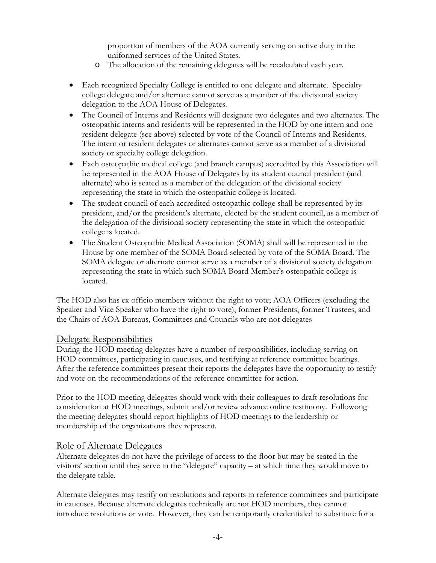proportion of members of the AOA currently serving on active duty in the uniformed services of the United States.

- o The allocation of the remaining delegates will be recalculated each year.
- Each recognized Specialty College is entitled to one delegate and alternate. Specialty college delegate and/or alternate cannot serve as a member of the divisional society delegation to the AOA House of Delegates.
- The Council of Interns and Residents will designate two delegates and two alternates. The osteopathic interns and residents will be represented in the HOD by one intern and one resident delegate (see above) selected by vote of the Council of Interns and Residents. The intern or resident delegates or alternates cannot serve as a member of a divisional society or specialty college delegation.
- Each osteopathic medical college (and branch campus) accredited by this Association will be represented in the AOA House of Delegates by its student council president (and alternate) who is seated as a member of the delegation of the divisional society representing the state in which the osteopathic college is located.
- The student council of each accredited osteopathic college shall be represented by its president, and/or the president's alternate, elected by the student council, as a member of the delegation of the divisional society representing the state in which the osteopathic college is located.
- The Student Osteopathic Medical Association (SOMA) shall will be represented in the House by one member of the SOMA Board selected by vote of the SOMA Board. The SOMA delegate or alternate cannot serve as a member of a divisional society delegation representing the state in which such SOMA Board Member's osteopathic college is located.

The HOD also has ex officio members without the right to vote; AOA Officers (excluding the Speaker and Vice Speaker who have the right to vote), former Presidents, former Trustees, and the Chairs of AOA Bureaus, Committees and Councils who are not delegates

## Delegate Responsibilities

During the HOD meeting delegates have a number of responsibilities, including serving on HOD committees, participating in caucuses, and testifying at reference committee hearings. After the reference committees present their reports the delegates have the opportunity to testify and vote on the recommendations of the reference committee for action.

Prior to the HOD meeting delegates should work with their colleagues to draft resolutions for consideration at HOD meetings, submit and/or review advance online testimony. Followong the meeting delegates should report highlights of HOD meetings to the leadership or membership of the organizations they represent.

## Role of Alternate Delegates

Alternate delegates do not have the privilege of access to the floor but may be seated in the visitors' section until they serve in the "delegate" capacity – at which time they would move to the delegate table.

Alternate delegates may testify on resolutions and reports in reference committees and participate in caucuses. Because alternate delegates technically are not HOD members, they cannot introduce resolutions or vote. However, they can be temporarily credentialed to substitute for a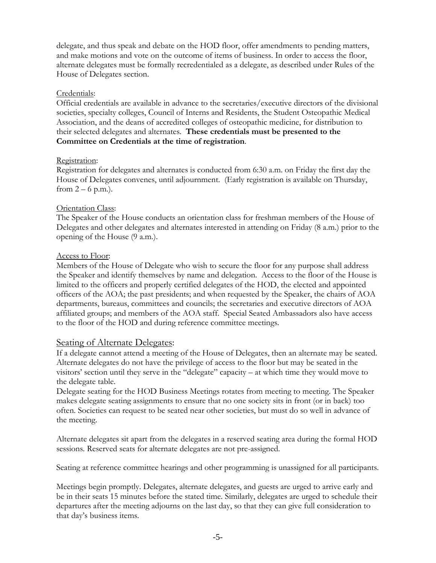delegate, and thus speak and debate on the HOD floor, offer amendments to pending matters, and make motions and vote on the outcome of items of business. In order to access the floor, alternate delegates must be formally recredentialed as a delegate, as described under Rules of the House of Delegates section.

## Credentials:

Official credentials are available in advance to the secretaries/executive directors of the divisional societies, specialty colleges, Council of Interns and Residents, the Student Osteopathic Medical Association, and the deans of accredited colleges of osteopathic medicine, for distribution to their selected delegates and alternates. **These credentials must be presented to the Committee on Credentials at the time of registration**.

## Registration:

Registration for delegates and alternates is conducted from 6:30 a.m. on Friday the first day the House of Delegates convenes, until adjournment. (Early registration is available on Thursday, from  $2 - 6$  p.m.).

## Orientation Class:

The Speaker of the House conducts an orientation class for freshman members of the House of Delegates and other delegates and alternates interested in attending on Friday (8 a.m.) prior to the opening of the House (9 a.m.).

## Access to Floor:

Members of the House of Delegate who wish to secure the floor for any purpose shall address the Speaker and identify themselves by name and delegation. Access to the floor of the House is limited to the officers and properly certified delegates of the HOD, the elected and appointed officers of the AOA; the past presidents; and when requested by the Speaker, the chairs of AOA departments, bureaus, committees and councils; the secretaries and executive directors of AOA affiliated groups; and members of the AOA staff. Special Seated Ambassadors also have access to the floor of the HOD and during reference committee meetings.

## Seating of Alternate Delegates:

If a delegate cannot attend a meeting of the House of Delegates, then an alternate may be seated. Alternate delegates do not have the privilege of access to the floor but may be seated in the visitors' section until they serve in the "delegate" capacity – at which time they would move to the delegate table.

Delegate seating for the HOD Business Meetings rotates from meeting to meeting. The Speaker makes delegate seating assignments to ensure that no one society sits in front (or in back) too often. Societies can request to be seated near other societies, but must do so well in advance of the meeting.

Alternate delegates sit apart from the delegates in a reserved seating area during the formal HOD sessions. Reserved seats for alternate delegates are not pre-assigned.

Seating at reference committee hearings and other programming is unassigned for all participants.

Meetings begin promptly. Delegates, alternate delegates, and guests are urged to arrive early and be in their seats 15 minutes before the stated time. Similarly, delegates are urged to schedule their departures after the meeting adjourns on the last day, so that they can give full consideration to that day's business items.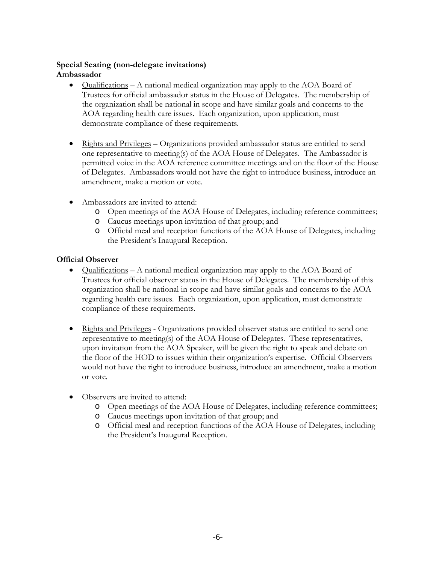## **Special Seating (non-delegate invitations) Ambassador**

- Qualifications A national medical organization may apply to the AOA Board of Trustees for official ambassador status in the House of Delegates. The membership of the organization shall be national in scope and have similar goals and concerns to the AOA regarding health care issues. Each organization, upon application, must demonstrate compliance of these requirements.
- Rights and Privileges Organizations provided ambassador status are entitled to send one representative to meeting(s) of the AOA House of Delegates. The Ambassador is permitted voice in the AOA reference committee meetings and on the floor of the House of Delegates. Ambassadors would not have the right to introduce business, introduce an amendment, make a motion or vote.
- Ambassadors are invited to attend:
	- o Open meetings of the AOA House of Delegates, including reference committees;
	- o Caucus meetings upon invitation of that group; and
	- o Official meal and reception functions of the AOA House of Delegates, including the President's Inaugural Reception.

## **Official Observer**

- Qualifications A national medical organization may apply to the AOA Board of Trustees for official observer status in the House of Delegates. The membership of this organization shall be national in scope and have similar goals and concerns to the AOA regarding health care issues. Each organization, upon application, must demonstrate compliance of these requirements.
- Rights and Privileges Organizations provided observer status are entitled to send one representative to meeting(s) of the AOA House of Delegates. These representatives, upon invitation from the AOA Speaker, will be given the right to speak and debate on the floor of the HOD to issues within their organization's expertise. Official Observers would not have the right to introduce business, introduce an amendment, make a motion or vote.
- Observers are invited to attend:
	- o Open meetings of the AOA House of Delegates, including reference committees;
	- o Caucus meetings upon invitation of that group; and
	- o Official meal and reception functions of the AOA House of Delegates, including the President's Inaugural Reception.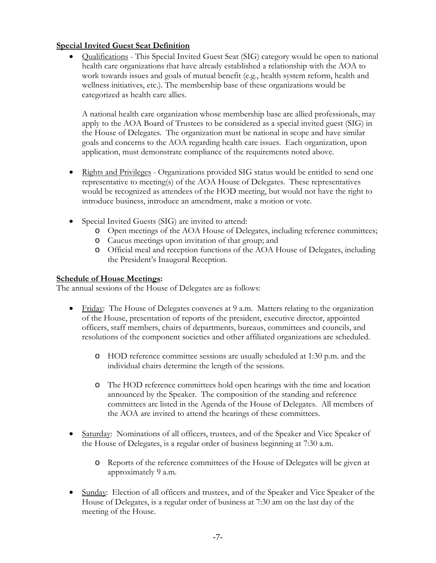## **Special Invited Guest Seat Definition**

• Qualifications - This Special Invited Guest Seat (SIG) category would be open to national health care organizations that have already established a relationship with the AOA to work towards issues and goals of mutual benefit (e.g., health system reform, health and wellness initiatives, etc.). The membership base of these organizations would be categorized as health care allies.

A national health care organization whose membership base are allied professionals, may apply to the AOA Board of Trustees to be considered as a special invited guest (SIG) in the House of Delegates. The organization must be national in scope and have similar goals and concerns to the AOA regarding health care issues. Each organization, upon application, must demonstrate compliance of the requirements noted above.

- Rights and Privileges Organizations provided SIG status would be entitled to send one representative to meeting(s) of the AOA House of Delegates. These representatives would be recognized as attendees of the HOD meeting, but would not have the right to introduce business, introduce an amendment, make a motion or vote.
- Special Invited Guests (SIG) are invited to attend:
	- o Open meetings of the AOA House of Delegates, including reference committees;
	- o Caucus meetings upon invitation of that group; and
	- o Official meal and reception functions of the AOA House of Delegates, including the President's Inaugural Reception.

## **Schedule of House Meetings:**

The annual sessions of the House of Delegates are as follows:

- Friday: The House of Delegates convenes at 9 a.m. Matters relating to the organization of the House, presentation of reports of the president, executive director, appointed officers, staff members, chairs of departments, bureaus, committees and councils, and resolutions of the component societies and other affiliated organizations are scheduled.
	- o HOD reference committee sessions are usually scheduled at 1:30 p.m. and the individual chairs determine the length of the sessions.
	- o The HOD reference committees hold open hearings with the time and location announced by the Speaker. The composition of the standing and reference committees are listed in the Agenda of the House of Delegates. All members of the AOA are invited to attend the hearings of these committees.
- Saturday: Nominations of all officers, trustees, and of the Speaker and Vice Speaker of the House of Delegates, is a regular order of business beginning at 7:30 a.m.
	- o Reports of the reference committees of the House of Delegates will be given at approximately 9 a.m.
- Sunday: Election of all officers and trustees, and of the Speaker and Vice Speaker of the House of Delegates, is a regular order of business at 7:30 am on the last day of the meeting of the House.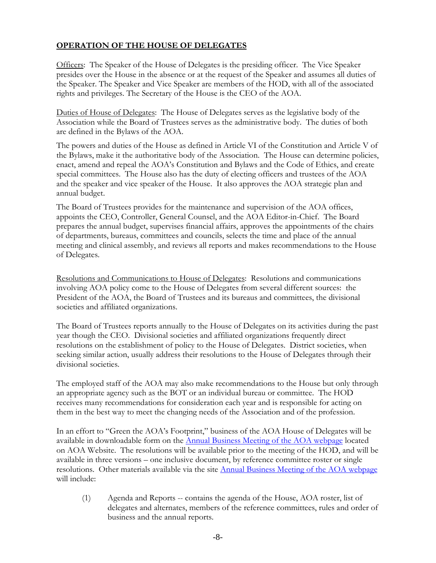## **OPERATION OF THE HOUSE OF DELEGATES**

Officers: The Speaker of the House of Delegates is the presiding officer. The Vice Speaker presides over the House in the absence or at the request of the Speaker and assumes all duties of the Speaker. The Speaker and Vice Speaker are members of the HOD, with all of the associated rights and privileges. The Secretary of the House is the CEO of the AOA.

Duties of House of Delegates: The House of Delegates serves as the legislative body of the Association while the Board of Trustees serves as the administrative body. The duties of both are defined in the Bylaws of the AOA.

The powers and duties of the House as defined in Article VI of the Constitution and Article V of the Bylaws, make it the authoritative body of the Association. The House can determine policies, enact, amend and repeal the AOA's Constitution and Bylaws and the Code of Ethics, and create special committees. The House also has the duty of electing officers and trustees of the AOA and the speaker and vice speaker of the House. It also approves the AOA strategic plan and annual budget.

The Board of Trustees provides for the maintenance and supervision of the AOA offices, appoints the CEO, Controller, General Counsel, and the AOA Editor-in-Chief. The Board prepares the annual budget, supervises financial affairs, approves the appointments of the chairs of departments, bureaus, committees and councils, selects the time and place of the annual meeting and clinical assembly, and reviews all reports and makes recommendations to the House of Delegates.

Resolutions and Communications to House of Delegates: Resolutions and communications involving AOA policy come to the House of Delegates from several different sources: the President of the AOA, the Board of Trustees and its bureaus and committees, the divisional societies and affiliated organizations.

The Board of Trustees reports annually to the House of Delegates on its activities during the past year though the CEO. Divisional societies and affiliated organizations frequently direct resolutions on the establishment of policy to the House of Delegates. District societies, when seeking similar action, usually address their resolutions to the House of Delegates through their divisional societies.

The employed staff of the AOA may also make recommendations to the House but only through an appropriate agency such as the BOT or an individual bureau or committee. The HOD receives many recommendations for consideration each year and is responsible for acting on them in the best way to meet the changing needs of the Association and of the profession.

In an effort to "Green the AOA's Footprint," business of the AOA House of Delegates will be available in downloadable form on the [Annual Business Meeting of](http://www.osteopathic.org/inside-aoa/events/annual-business-meeting/Pages/default.aspx) the AOA webpage located on AOA Website. The resolutions will be available prior to the meeting of the HOD, and will be available in three versions – one inclusive document, by reference committee roster or single resolutions. Other materials available via the site [Annual Business Meeting of the AOA webpage](http://www.osteopathic.org/inside-aoa/events/annual-business-meeting/Pages/default.aspx) will include:

(1) Agenda and Reports -- contains the agenda of the House, AOA roster, list of delegates and alternates, members of the reference committees, rules and order of business and the annual reports.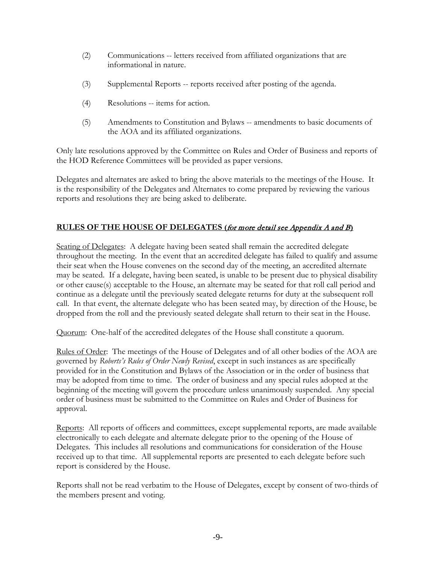- (2) Communications -- letters received from affiliated organizations that are informational in nature.
- (3) Supplemental Reports -- reports received after posting of the agenda.
- (4) Resolutions -- items for action.
- (5) Amendments to Constitution and Bylaws -- amendments to basic documents of the AOA and its affiliated organizations.

Only late resolutions approved by the Committee on Rules and Order of Business and reports of the HOD Reference Committees will be provided as paper versions.

Delegates and alternates are asked to bring the above materials to the meetings of the House. It is the responsibility of the Delegates and Alternates to come prepared by reviewing the various reports and resolutions they are being asked to deliberate.

## **RULES OF THE HOUSE OF DELEGATES (**for more detail see Appendix A and B**)**

Seating of Delegates: A delegate having been seated shall remain the accredited delegate throughout the meeting. In the event that an accredited delegate has failed to qualify and assume their seat when the House convenes on the second day of the meeting, an accredited alternate may be seated. If a delegate, having been seated, is unable to be present due to physical disability or other cause(s) acceptable to the House, an alternate may be seated for that roll call period and continue as a delegate until the previously seated delegate returns for duty at the subsequent roll call. In that event, the alternate delegate who has been seated may, by direction of the House, be dropped from the roll and the previously seated delegate shall return to their seat in the House.

Quorum: One-half of the accredited delegates of the House shall constitute a quorum.

Rules of Order: The meetings of the House of Delegates and of all other bodies of the AOA are governed by *Roberts's Rules of Order Newly Revised*, except in such instances as are specifically provided for in the Constitution and Bylaws of the Association or in the order of business that may be adopted from time to time. The order of business and any special rules adopted at the beginning of the meeting will govern the procedure unless unanimously suspended. Any special order of business must be submitted to the Committee on Rules and Order of Business for approval.

Reports: All reports of officers and committees, except supplemental reports, are made available electronically to each delegate and alternate delegate prior to the opening of the House of Delegates. This includes all resolutions and communications for consideration of the House received up to that time. All supplemental reports are presented to each delegate before such report is considered by the House.

Reports shall not be read verbatim to the House of Delegates, except by consent of two-thirds of the members present and voting.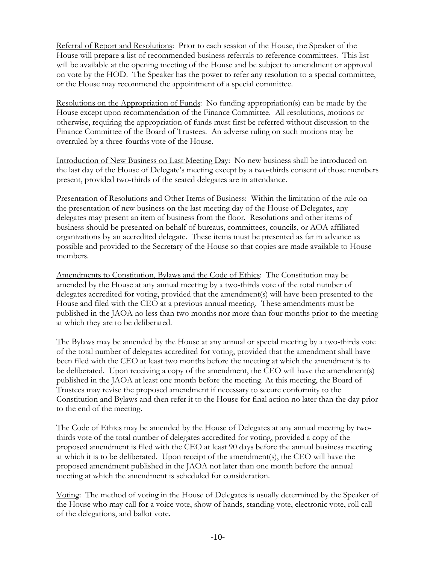Referral of Report and Resolutions: Prior to each session of the House, the Speaker of the House will prepare a list of recommended business referrals to reference committees. This list will be available at the opening meeting of the House and be subject to amendment or approval on vote by the HOD. The Speaker has the power to refer any resolution to a special committee, or the House may recommend the appointment of a special committee.

Resolutions on the Appropriation of Funds: No funding appropriation(s) can be made by the House except upon recommendation of the Finance Committee. All resolutions, motions or otherwise, requiring the appropriation of funds must first be referred without discussion to the Finance Committee of the Board of Trustees. An adverse ruling on such motions may be overruled by a three-fourths vote of the House.

Introduction of New Business on Last Meeting Day: No new business shall be introduced on the last day of the House of Delegate's meeting except by a two-thirds consent of those members present, provided two-thirds of the seated delegates are in attendance.

Presentation of Resolutions and Other Items of Business: Within the limitation of the rule on the presentation of new business on the last meeting day of the House of Delegates, any delegates may present an item of business from the floor. Resolutions and other items of business should be presented on behalf of bureaus, committees, councils, or AOA affiliated organizations by an accredited delegate. These items must be presented as far in advance as possible and provided to the Secretary of the House so that copies are made available to House members.

Amendments to Constitution, Bylaws and the Code of Ethics: The Constitution may be amended by the House at any annual meeting by a two-thirds vote of the total number of delegates accredited for voting, provided that the amendment(s) will have been presented to the House and filed with the CEO at a previous annual meeting. These amendments must be published in the JAOA no less than two months nor more than four months prior to the meeting at which they are to be deliberated.

The Bylaws may be amended by the House at any annual or special meeting by a two-thirds vote of the total number of delegates accredited for voting, provided that the amendment shall have been filed with the CEO at least two months before the meeting at which the amendment is to be deliberated. Upon receiving a copy of the amendment, the CEO will have the amendment(s) published in the JAOA at least one month before the meeting. At this meeting, the Board of Trustees may revise the proposed amendment if necessary to secure conformity to the Constitution and Bylaws and then refer it to the House for final action no later than the day prior to the end of the meeting.

The Code of Ethics may be amended by the House of Delegates at any annual meeting by twothirds vote of the total number of delegates accredited for voting, provided a copy of the proposed amendment is filed with the CEO at least 90 days before the annual business meeting at which it is to be deliberated. Upon receipt of the amendment(s), the CEO will have the proposed amendment published in the JAOA not later than one month before the annual meeting at which the amendment is scheduled for consideration.

Voting: The method of voting in the House of Delegates is usually determined by the Speaker of the House who may call for a voice vote, show of hands, standing vote, electronic vote, roll call of the delegations, and ballot vote.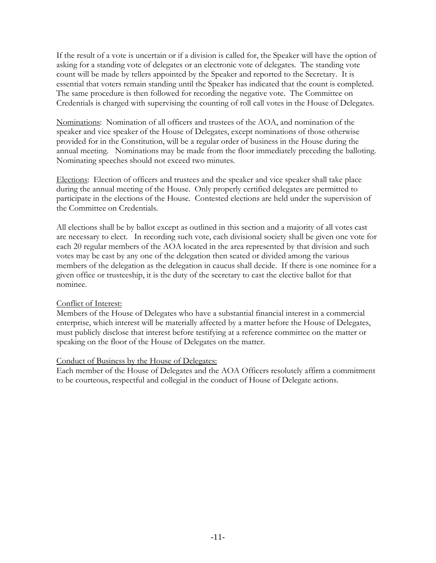If the result of a vote is uncertain or if a division is called for, the Speaker will have the option of asking for a standing vote of delegates or an electronic vote of delegates. The standing vote count will be made by tellers appointed by the Speaker and reported to the Secretary. It is essential that voters remain standing until the Speaker has indicated that the count is completed. The same procedure is then followed for recording the negative vote. The Committee on Credentials is charged with supervising the counting of roll call votes in the House of Delegates.

Nominations: Nomination of all officers and trustees of the AOA, and nomination of the speaker and vice speaker of the House of Delegates, except nominations of those otherwise provided for in the Constitution, will be a regular order of business in the House during the annual meeting. Nominations may be made from the floor immediately preceding the balloting. Nominating speeches should not exceed two minutes.

Elections: Election of officers and trustees and the speaker and vice speaker shall take place during the annual meeting of the House. Only properly certified delegates are permitted to participate in the elections of the House. Contested elections are held under the supervision of the Committee on Credentials.

All elections shall be by ballot except as outlined in this section and a majority of all votes cast are necessary to elect. In recording such vote, each divisional society shall be given one vote for each 20 regular members of the AOA located in the area represented by that division and such votes may be cast by any one of the delegation then seated or divided among the various members of the delegation as the delegation in caucus shall decide. If there is one nominee for a given office or trusteeship, it is the duty of the secretary to cast the elective ballot for that nominee.

## Conflict of Interest:

Members of the House of Delegates who have a substantial financial interest in a commercial enterprise, which interest will be materially affected by a matter before the House of Delegates, must publicly disclose that interest before testifying at a reference committee on the matter or speaking on the floor of the House of Delegates on the matter.

#### Conduct of Business by the House of Delegates:

Each member of the House of Delegates and the AOA Officers resolutely affirm a commitment to be courteous, respectful and collegial in the conduct of House of Delegate actions.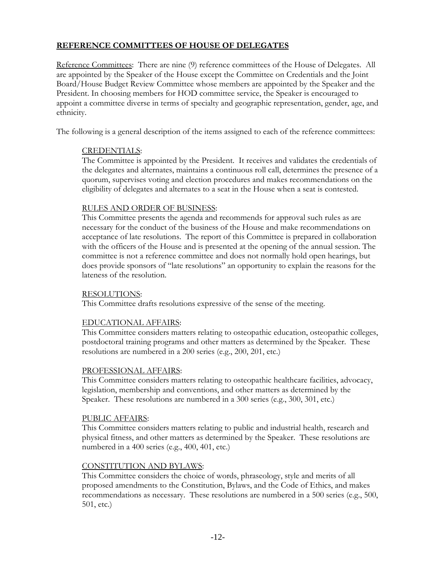## **REFERENCE COMMITTEES OF HOUSE OF DELEGATES**

Reference Committees: There are nine (9) reference committees of the House of Delegates. All are appointed by the Speaker of the House except the Committee on Credentials and the Joint Board/House Budget Review Committee whose members are appointed by the Speaker and the President. In choosing members for HOD committee service, the Speaker is encouraged to appoint a committee diverse in terms of specialty and geographic representation, gender, age, and ethnicity.

The following is a general description of the items assigned to each of the reference committees:

## CREDENTIALS:

The Committee is appointed by the President. It receives and validates the credentials of the delegates and alternates, maintains a continuous roll call, determines the presence of a quorum, supervises voting and election procedures and makes recommendations on the eligibility of delegates and alternates to a seat in the House when a seat is contested.

## RULES AND ORDER OF BUSINESS:

This Committee presents the agenda and recommends for approval such rules as are necessary for the conduct of the business of the House and make recommendations on acceptance of late resolutions. The report of this Committee is prepared in collaboration with the officers of the House and is presented at the opening of the annual session. The committee is not a reference committee and does not normally hold open hearings, but does provide sponsors of "late resolutions" an opportunity to explain the reasons for the lateness of the resolution.

## RESOLUTIONS:

This Committee drafts resolutions expressive of the sense of the meeting.

## EDUCATIONAL AFFAIRS:

This Committee considers matters relating to osteopathic education, osteopathic colleges, postdoctoral training programs and other matters as determined by the Speaker. These resolutions are numbered in a 200 series (e.g., 200, 201, etc.)

## PROFESSIONAL AFFAIRS:

This Committee considers matters relating to osteopathic healthcare facilities, advocacy, legislation, membership and conventions, and other matters as determined by the Speaker. These resolutions are numbered in a 300 series (e.g., 300, 301, etc.)

## PUBLIC AFFAIRS:

This Committee considers matters relating to public and industrial health, research and physical fitness, and other matters as determined by the Speaker. These resolutions are numbered in a 400 series (e.g., 400, 401, etc.)

## CONSTITUTION AND BYLAWS:

This Committee considers the choice of words, phraseology, style and merits of all proposed amendments to the Constitution, Bylaws, and the Code of Ethics, and makes recommendations as necessary. These resolutions are numbered in a 500 series (e.g., 500, 501, etc.)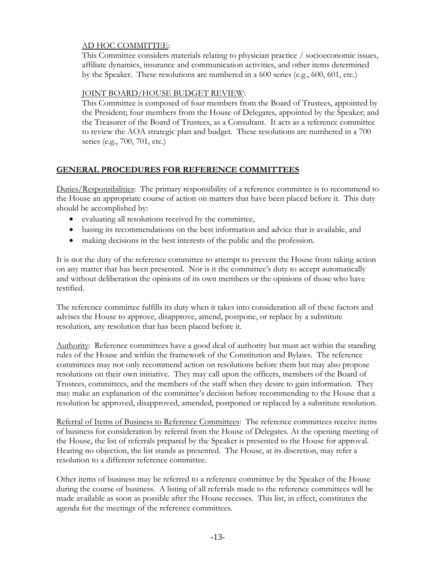## AD HOC COMMITTEE:

This Committee considers materials relating to physician practice / socioeconomic issues, affiliate dynamics, insurance and communication activities, and other items determined by the Speaker. These resolutions are numbered in a 600 series (e.g., 600, 601, etc.)

## JOINT BOARD/HOUSE BUDGET REVIEW:

This Committee is composed of four members from the Board of Trustees, appointed by the President; four members from the House of Delegates, appointed by the Speaker; and the Treasurer of the Board of Trustees, as a Consultant. It acts as a reference committee to review the AOA strategic plan and budget. These resolutions are numbered in a 700 series (e.g., 700, 701, etc.)

## **GENERAL PROCEDURES FOR REFERENCE COMMITTEES**

Duties/Responsibilities: The primary responsibility of a reference committee is to recommend to the House an appropriate course of action on matters that have been placed before it. This duty should be accomplished by:

- evaluating all resolutions received by the committee,
- basing its recommendations on the best information and advice that is available, and
- making decisions in the best interests of the public and the profession.

It is not the duty of the reference committee to attempt to prevent the House from taking action on any matter that has been presented. Nor is it the committee's duty to accept automatically and without deliberation the opinions of its own members or the opinions of those who have testified.

The reference committee fulfills its duty when it takes into consideration all of these factors and advises the House to approve, disapprove, amend, postpone, or replace by a substitute resolution, any resolution that has been placed before it.

Authority: Reference committees have a good deal of authority but must act within the standing rules of the House and within the framework of the Constitution and Bylaws. The reference committees may not only recommend action on resolutions before them but may also propose resolutions on their own initiative. They may call upon the officers, members of the Board of Trustees, committees, and the members of the staff when they desire to gain information. They may make an explanation of the committee's decision before recommending to the House that a resolution be approved, disapproved, amended, postponed or replaced by a substitute resolution.

Referral of Items of Business to Reference Committees: The reference committees receive items of business for consideration by referral from the House of Delegates. At the opening meeting of the House, the list of referrals prepared by the Speaker is presented to the House for approval. Hearing no objection, the list stands as presented. The House, at its discretion, may refer a resolution to a different reference committee.

Other items of business may be referred to a reference committee by the Speaker of the House during the course of business. A listing of all referrals made to the reference committees will be made available as soon as possible after the House recesses. This list, in effect, constitutes the agenda for the meetings of the reference committees.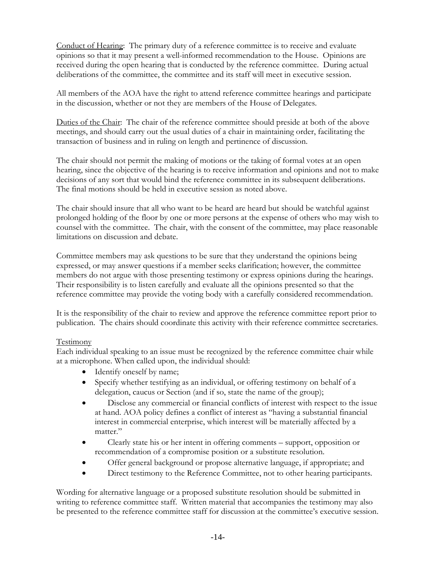Conduct of Hearing: The primary duty of a reference committee is to receive and evaluate opinions so that it may present a well-informed recommendation to the House. Opinions are received during the open hearing that is conducted by the reference committee. During actual deliberations of the committee, the committee and its staff will meet in executive session.

All members of the AOA have the right to attend reference committee hearings and participate in the discussion, whether or not they are members of the House of Delegates.

Duties of the Chair: The chair of the reference committee should preside at both of the above meetings, and should carry out the usual duties of a chair in maintaining order, facilitating the transaction of business and in ruling on length and pertinence of discussion.

The chair should not permit the making of motions or the taking of formal votes at an open hearing, since the objective of the hearing is to receive information and opinions and not to make decisions of any sort that would bind the reference committee in its subsequent deliberations. The final motions should be held in executive session as noted above.

The chair should insure that all who want to be heard are heard but should be watchful against prolonged holding of the floor by one or more persons at the expense of others who may wish to counsel with the committee. The chair, with the consent of the committee, may place reasonable limitations on discussion and debate.

Committee members may ask questions to be sure that they understand the opinions being expressed, or may answer questions if a member seeks clarification; however, the committee members do not argue with those presenting testimony or express opinions during the hearings. Their responsibility is to listen carefully and evaluate all the opinions presented so that the reference committee may provide the voting body with a carefully considered recommendation.

It is the responsibility of the chair to review and approve the reference committee report prior to publication. The chairs should coordinate this activity with their reference committee secretaries.

## Testimony

Each individual speaking to an issue must be recognized by the reference committee chair while at a microphone. When called upon, the individual should:

- Identify oneself by name;
- Specify whether testifying as an individual, or offering testimony on behalf of a delegation, caucus or Section (and if so, state the name of the group);
- Disclose any commercial or financial conflicts of interest with respect to the issue at hand. AOA policy defines a conflict of interest as "having a substantial financial interest in commercial enterprise, which interest will be materially affected by a matter."
- Clearly state his or her intent in offering comments support, opposition or recommendation of a compromise position or a substitute resolution.
- Offer general background or propose alternative language, if appropriate; and
- Direct testimony to the Reference Committee, not to other hearing participants.

Wording for alternative language or a proposed substitute resolution should be submitted in writing to reference committee staff. Written material that accompanies the testimony may also be presented to the reference committee staff for discussion at the committee's executive session.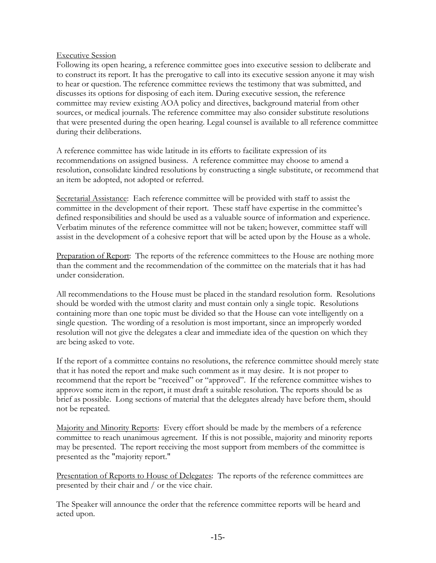## Executive Session

Following its open hearing, a reference committee goes into executive session to deliberate and to construct its report. It has the prerogative to call into its executive session anyone it may wish to hear or question. The reference committee reviews the testimony that was submitted, and discusses its options for disposing of each item. During executive session, the reference committee may review existing AOA policy and directives, background material from other sources, or medical journals. The reference committee may also consider substitute resolutions that were presented during the open hearing. Legal counsel is available to all reference committee during their deliberations.

A reference committee has wide latitude in its efforts to facilitate expression of its recommendations on assigned business. A reference committee may choose to amend a resolution, consolidate kindred resolutions by constructing a single substitute, or recommend that an item be adopted, not adopted or referred.

Secretarial Assistance: Each reference committee will be provided with staff to assist the committee in the development of their report. These staff have expertise in the committee's defined responsibilities and should be used as a valuable source of information and experience. Verbatim minutes of the reference committee will not be taken; however, committee staff will assist in the development of a cohesive report that will be acted upon by the House as a whole.

Preparation of Report: The reports of the reference committees to the House are nothing more than the comment and the recommendation of the committee on the materials that it has had under consideration.

All recommendations to the House must be placed in the standard resolution form. Resolutions should be worded with the utmost clarity and must contain only a single topic. Resolutions containing more than one topic must be divided so that the House can vote intelligently on a single question. The wording of a resolution is most important, since an improperly worded resolution will not give the delegates a clear and immediate idea of the question on which they are being asked to vote.

If the report of a committee contains no resolutions, the reference committee should merely state that it has noted the report and make such comment as it may desire. It is not proper to recommend that the report be "received" or "approved". If the reference committee wishes to approve some item in the report, it must draft a suitable resolution. The reports should be as brief as possible. Long sections of material that the delegates already have before them, should not be repeated.

Majority and Minority Reports: Every effort should be made by the members of a reference committee to reach unanimous agreement. If this is not possible, majority and minority reports may be presented. The report receiving the most support from members of the committee is presented as the "majority report."

Presentation of Reports to House of Delegates: The reports of the reference committees are presented by their chair and / or the vice chair.

The Speaker will announce the order that the reference committee reports will be heard and acted upon.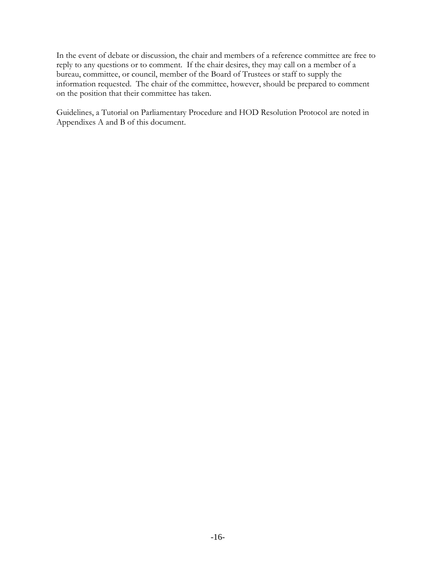In the event of debate or discussion, the chair and members of a reference committee are free to reply to any questions or to comment. If the chair desires, they may call on a member of a bureau, committee, or council, member of the Board of Trustees or staff to supply the information requested. The chair of the committee, however, should be prepared to comment on the position that their committee has taken.

Guidelines, a Tutorial on Parliamentary Procedure and HOD Resolution Protocol are noted in Appendixes A and B of this document.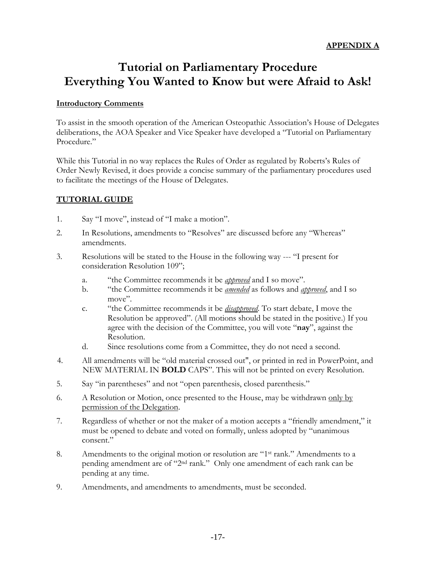## **Tutorial on Parliamentary Procedure Everything You Wanted to Know but were Afraid to Ask!**

## **Introductory Comments**

To assist in the smooth operation of the American Osteopathic Association's House of Delegates deliberations, the AOA Speaker and Vice Speaker have developed a "Tutorial on Parliamentary Procedure."

While this Tutorial in no way replaces the Rules of Order as regulated by Roberts's Rules of Order Newly Revised, it does provide a concise summary of the parliamentary procedures used to facilitate the meetings of the House of Delegates.

## **TUTORIAL GUIDE**

- 1. Say "I move", instead of "I make a motion".
- 2. In Resolutions, amendments to "Resolves" are discussed before any "Whereas" amendments.
- 3. Resolutions will be stated to the House in the following way --- "I present for consideration Resolution 109";
	- a. "the Committee recommends it be *approved* and I so move".
	- b. "the Committee recommends it be *amended* as follows and *approved*, and I so move"
	- c. "the Committee recommends it be *disapproved*. To start debate, I move the Resolution be approved". (All motions should be stated in the positive.) If you agree with the decision of the Committee, you will vote "**nay**", against the Resolution.
	- d. Since resolutions come from a Committee, they do not need a second.
- 4. All amendments will be "old material crossed out", or printed in red in PowerPoint, and NEW MATERIAL IN **BOLD** CAPS". This will not be printed on every Resolution.
- 5. Say "in parentheses" and not "open parenthesis, closed parenthesis."
- 6. A Resolution or Motion, once presented to the House, may be withdrawn only by permission of the Delegation.
- 7. Regardless of whether or not the maker of a motion accepts a "friendly amendment," it must be opened to debate and voted on formally, unless adopted by "unanimous consent."
- 8. Amendments to the original motion or resolution are "1st rank." Amendments to a pending amendment are of "2nd rank." Only one amendment of each rank can be pending at any time.
- 9. Amendments, and amendments to amendments, must be seconded.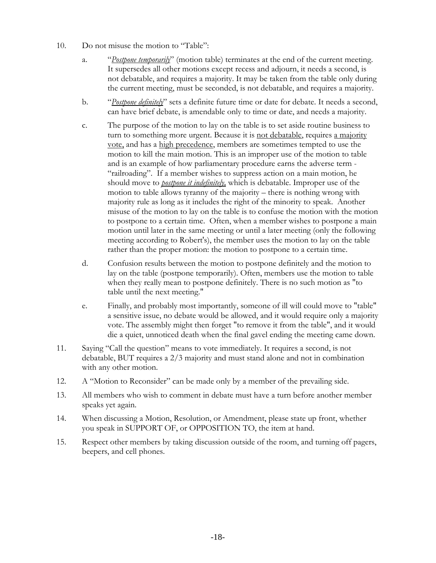- 10. Do not misuse the motion to "Table":
	- a. "*Postpone temporarily*" (motion table) terminates at the end of the current meeting. It supersedes all other motions except recess and adjourn, it needs a second, is not debatable, and requires a majority. It may be taken from the table only during the current meeting, must be seconded, is not debatable, and requires a majority.
	- b. "*Postpone definitely*" sets a definite future time or date for debate. It needs a second, can have brief debate, is amendable only to time or date, and needs a majority.
	- c. The purpose of the motion to lay on the table is to set aside routine business to turn to something more urgent. Because it is <u>not debatable</u>, requires a majority vote, and has a high precedence, members are sometimes tempted to use the motion to kill the main motion. This is an improper use of the motion to table and is an example of how parliamentary procedure earns the adverse term - "railroading". If a member wishes to suppress action on a main motion, he should move to *postpone it indefinitely,* which is debatable. Improper use of the motion to table allows tyranny of the majority – there is nothing wrong with majority rule as long as it includes the right of the minority to speak. Another misuse of the motion to lay on the table is to confuse the motion with the motion to postpone to a certain time. Often, when a member wishes to postpone a main motion until later in the same meeting or until a later meeting (only the following meeting according to Robert's), the member uses the motion to lay on the table rather than the proper motion: the motion to postpone to a certain time.
	- d. Confusion results between the motion to postpone definitely and the motion to lay on the table (postpone temporarily). Often, members use the motion to table when they really mean to postpone definitely. There is no such motion as "to table until the next meeting."
	- e. Finally, and probably most importantly, someone of ill will could move to "table" a sensitive issue, no debate would be allowed, and it would require only a majority vote. The assembly might then forget "to remove it from the table", and it would die a quiet, unnoticed death when the final gavel ending the meeting came down.
- 11. Saying "Call the question" means to vote immediately. It requires a second, is not debatable, BUT requires a 2/3 majority and must stand alone and not in combination with any other motion.
- 12. A "Motion to Reconsider" can be made only by a member of the prevailing side.
- 13. All members who wish to comment in debate must have a turn before another member speaks yet again.
- 14. When discussing a Motion, Resolution, or Amendment, please state up front, whether you speak in SUPPORT OF, or OPPOSITION TO, the item at hand.
- 15. Respect other members by taking discussion outside of the room, and turning off pagers, beepers, and cell phones.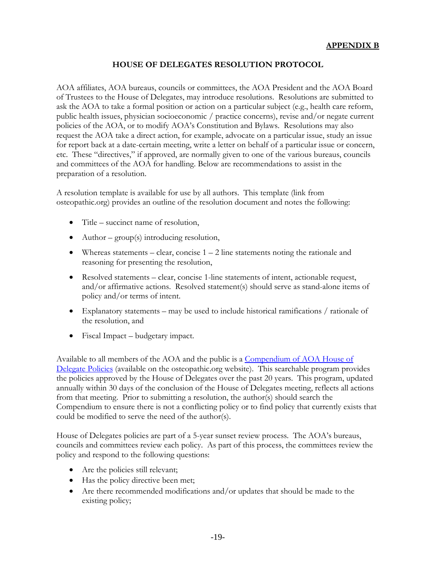## **HOUSE OF DELEGATES RESOLUTION PROTOCOL**

AOA affiliates, AOA bureaus, councils or committees, the AOA President and the AOA Board of Trustees to the House of Delegates, may introduce resolutions. Resolutions are submitted to ask the AOA to take a formal position or action on a particular subject (e.g., health care reform, public health issues, physician socioeconomic / practice concerns), revise and/or negate current policies of the AOA, or to modify AOA's Constitution and Bylaws. Resolutions may also request the AOA take a direct action, for example, advocate on a particular issue, study an issue for report back at a date-certain meeting, write a letter on behalf of a particular issue or concern, etc. These "directives," if approved, are normally given to one of the various bureaus, councils and committees of the AOA for handling. Below are recommendations to assist in the preparation of a resolution.

A resolution template is available for use by all authors. This template (link from osteopathic.org) provides an outline of the resolution document and notes the following:

- Title succinct name of resolution,
- Author  $group(s)$  introducing resolution,
- Whereas statements clear, concise  $1 2$  line statements noting the rationale and reasoning for presenting the resolution,
- Resolved statements clear, concise 1-line statements of intent, actionable request, and/or affirmative actions. Resolved statement(s) should serve as stand-alone items of policy and/or terms of intent.
- Explanatory statements may be used to include historical ramifications / rationale of the resolution, and
- Fiscal Impact budgetary impact.

Available to all members of the AOA and the public is a [Compendium of AOA House of](http://www.osteopathic.org/inside-aoa/about/leadership/Documents/policy-compendium.pdf)  [Delegate Policies](http://www.osteopathic.org/inside-aoa/about/leadership/Documents/policy-compendium.pdf) (available on the osteopathic.org website). This searchable program provides the policies approved by the House of Delegates over the past 20 years. This program, updated annually within 30 days of the conclusion of the House of Delegates meeting, reflects all actions from that meeting. Prior to submitting a resolution, the author(s) should search the Compendium to ensure there is not a conflicting policy or to find policy that currently exists that could be modified to serve the need of the author(s).

House of Delegates policies are part of a 5-year sunset review process. The AOA's bureaus, councils and committees review each policy. As part of this process, the committees review the policy and respond to the following questions:

- Are the policies still relevant;
- Has the policy directive been met;
- Are there recommended modifications and/or updates that should be made to the existing policy;